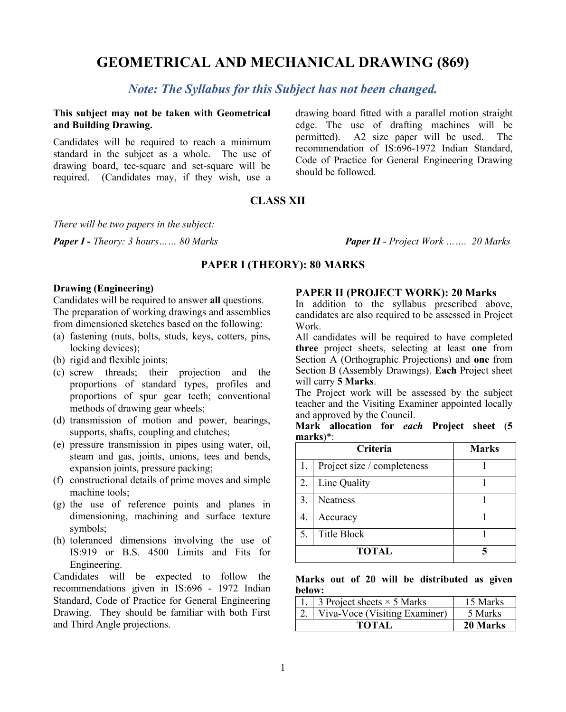# **GEOMETRICAL AND MECHANICAL DRAWING (869)**

### *Note: The Syllabus for this Subject has not been changed.*

**This subject may not be taken with Geometrical and Building Drawing.**

Candidates will be required to reach a minimum standard in the subject as a whole. The use of drawing board, tee-square and set-square will be required. (Candidates may, if they wish, use a

drawing board fitted with a parallel motion straight edge. The use of drafting machines will be permitted). A2 size paper will be used. The recommendation of IS:696-1972 Indian Standard, Code of Practice for General Engineering Drawing should be followed.

### **CLASS XII**

*There will be two papers in the subject:*

*Paper I - Theory: 3 hours…… 80 Marks Paper II - Project Work ……. 20 Marks*

#### **PAPER I (THEORY): 80 MARKS**

#### **Drawing (Engineering)**

Candidates will be required to answer **all** questions. The preparation of working drawings and assemblies from dimensioned sketches based on the following:

- (a) fastening (nuts, bolts, studs, keys, cotters, pins, locking devices);
- (b) rigid and flexible joints;
- (c) screw threads; their projection and the proportions of standard types, profiles and proportions of spur gear teeth; conventional methods of drawing gear wheels;
- (d) transmission of motion and power, bearings, supports, shafts, coupling and clutches;
- (e) pressure transmission in pipes using water, oil, steam and gas, joints, unions, tees and bends, expansion joints, pressure packing;
- (f) constructional details of prime moves and simple machine tools;
- (g) the use of reference points and planes in dimensioning, machining and surface texture symbols;
- (h) toleranced dimensions involving the use of IS:919 or B.S. 4500 Limits and Fits for Engineering.

Candidates will be expected to follow the recommendations given in IS:696 - 1972 Indian Standard, Code of Practice for General Engineering Drawing. They should be familiar with both First and Third Angle projections.

#### **PAPER II (PROJECT WORK): 20 Marks**

In addition to the syllabus prescribed above, candidates are also required to be assessed in Project Work.

All candidates will be required to have completed **three** project sheets, selecting at least **one** from Section A (Orthographic Projections) and **one** from Section B (Assembly Drawings). **Each** Project sheet will carry **5 Marks**.

The Project work will be assessed by the subject teacher and the Visiting Examiner appointed locally and approved by the Council.

|          | Mark allocation for each Project sheet (5 |  |  |  |
|----------|-------------------------------------------|--|--|--|
| marks)*: |                                           |  |  |  |

|              | Criteria                    | <b>Marks</b> |  |
|--------------|-----------------------------|--------------|--|
| 1.           | Project size / completeness |              |  |
| 2.           | Line Quality                |              |  |
| 3.           | <b>Neatness</b>             |              |  |
| 4.           | Accuracy                    |              |  |
| 5.           | Title Block                 |              |  |
| <b>TOTAL</b> |                             |              |  |

#### **Marks out of 20 will be distributed as given below:**

| 3 Project sheets $\times$ 5 Marks | 15 Marks |
|-----------------------------------|----------|
| Viva-Voce (Visiting Examiner)     | 5 Marks  |
| TOTAL                             | 20 Marks |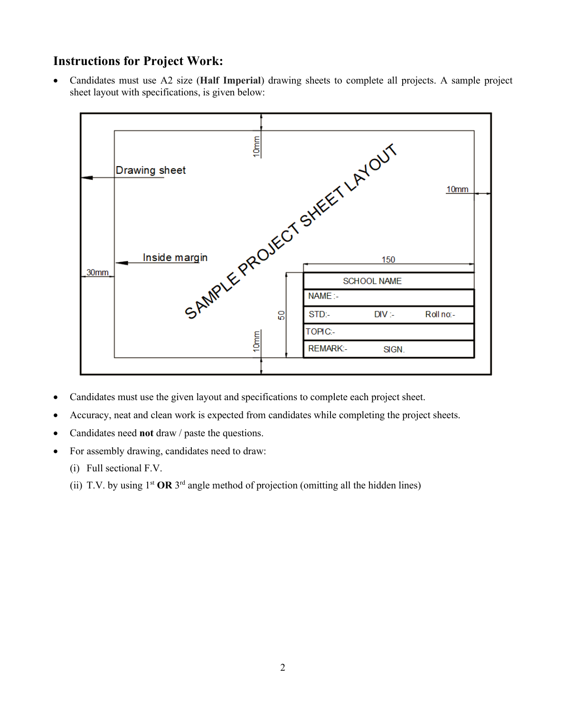# **Instructions for Project Work:**

• Candidates must use A2 size (**Half Imperial**) drawing sheets to complete all projects. A sample project sheet layout with specifications, is given below:



- Candidates must use the given layout and specifications to complete each project sheet.
- Accuracy, neat and clean work is expected from candidates while completing the project sheets.
- Candidates need **not** draw / paste the questions.
- For assembly drawing, candidates need to draw:
	- (i) Full sectional F.V.
	- (ii) T.V. by using  $1^{st}$  **OR**  $3^{rd}$  angle method of projection (omitting all the hidden lines)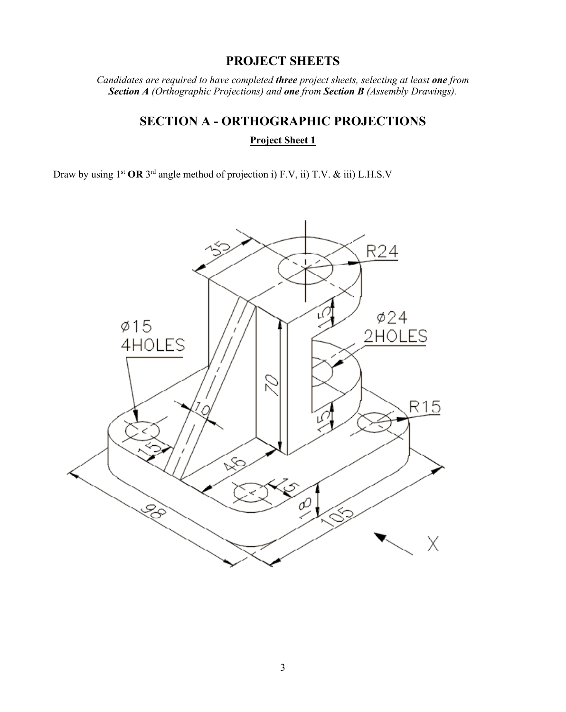# **PROJECT SHEETS**

*Candidates are required to have completed three project sheets, selecting at least one from Section A (Orthographic Projections) and one from Section B (Assembly Drawings).* 

# **SECTION A - ORTHOGRAPHIC PROJECTIONS Project Sheet 1**

Draw by using 1st **OR** 3rd angle method of projection i) F.V, ii) T.V. & iii) L.H.S.V

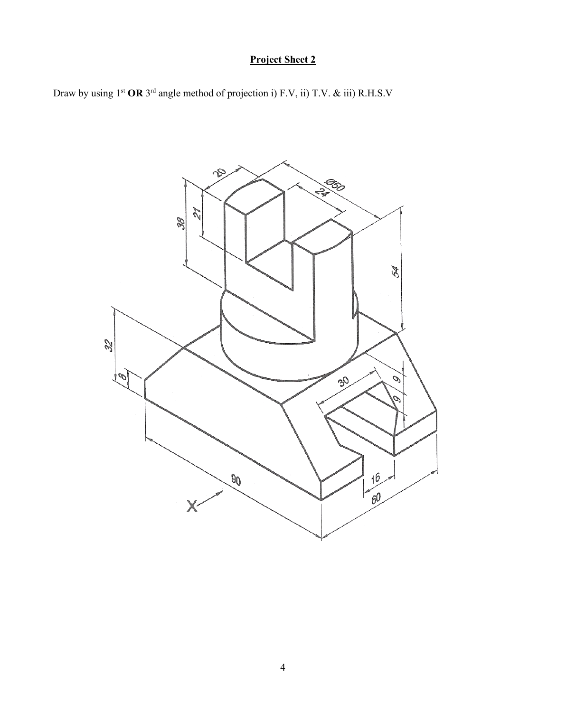Draw by using 1st **OR** 3rd angle method of projection i) F.V, ii) T.V. & iii) R.H.S.V

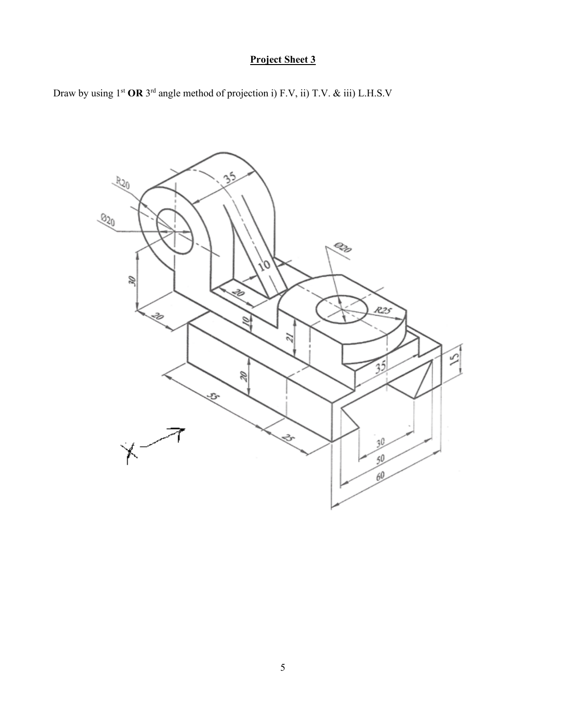Draw by using 1st **OR** 3rd angle method of projection i) F.V, ii) T.V. & iii) L.H.S.V

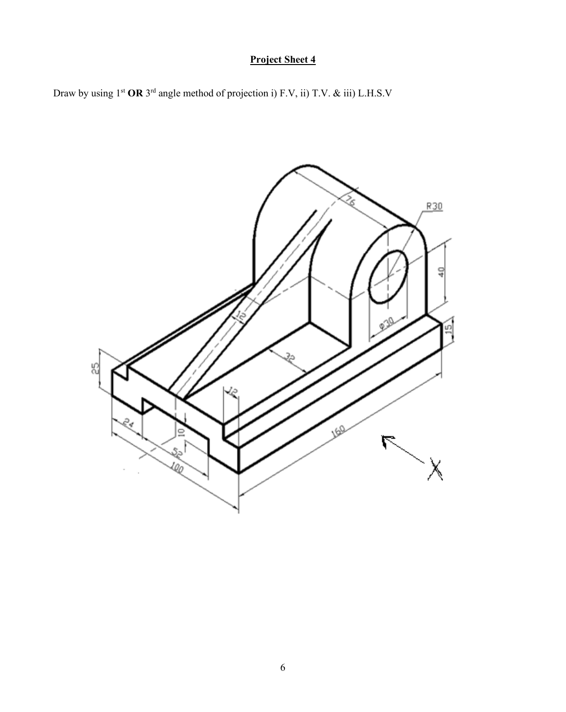Draw by using 1st **OR** 3rd angle method of projection i) F.V, ii) T.V. & iii) L.H.S.V

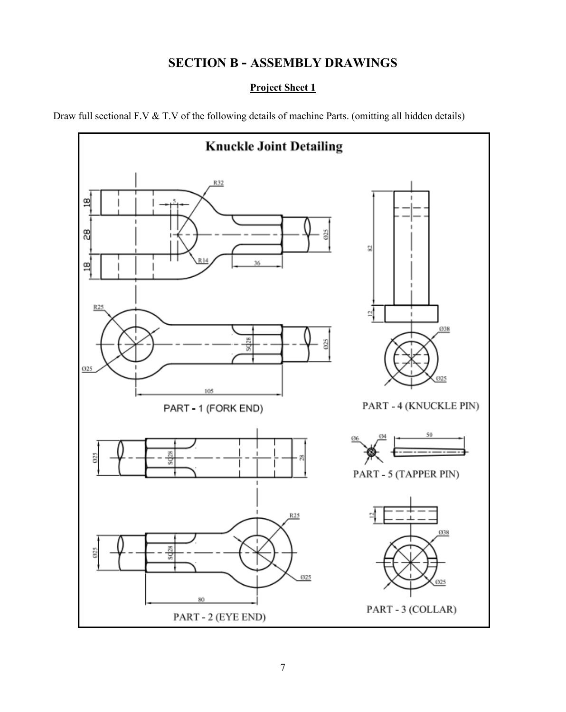# **SECTION B - ASSEMBLY DRAWINGS**

### **Project Sheet 1**

Draw full sectional F.V & T.V of the following details of machine Parts. (omitting all hidden details)

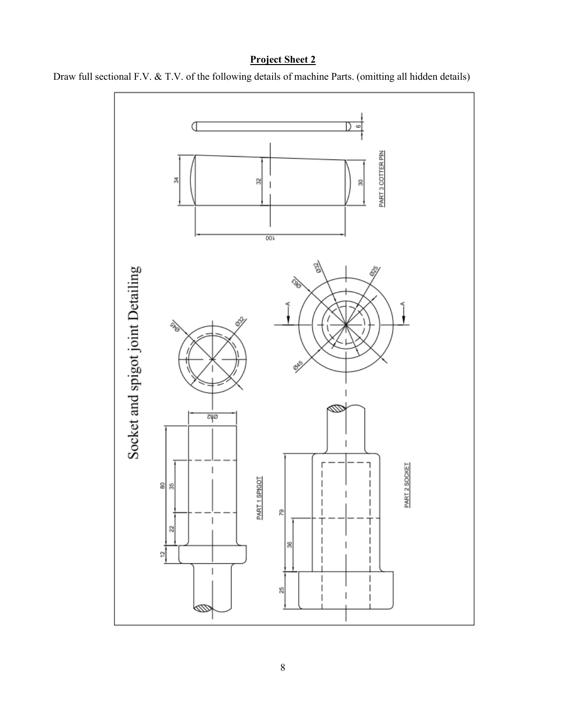

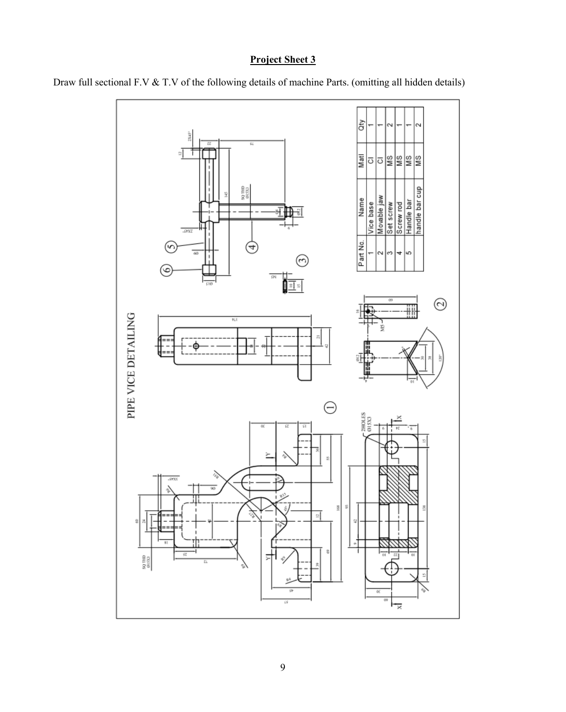

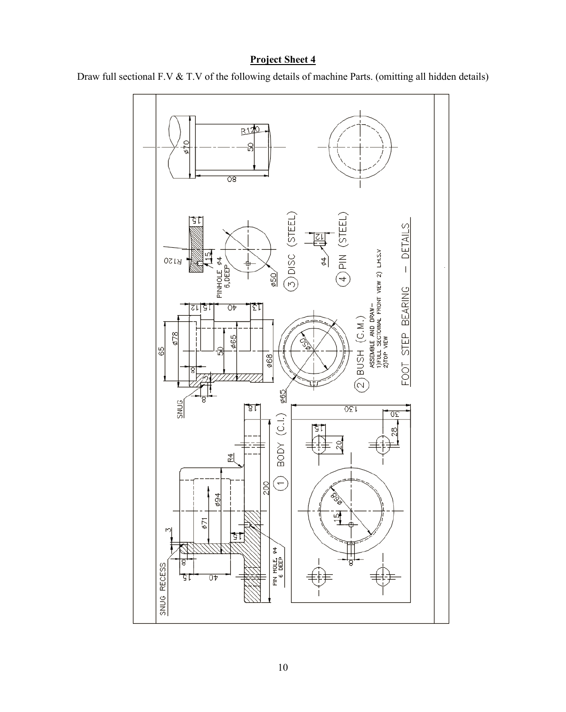

Draw full sectional F.V & T.V of the following details of machine Parts. (omitting all hidden details)